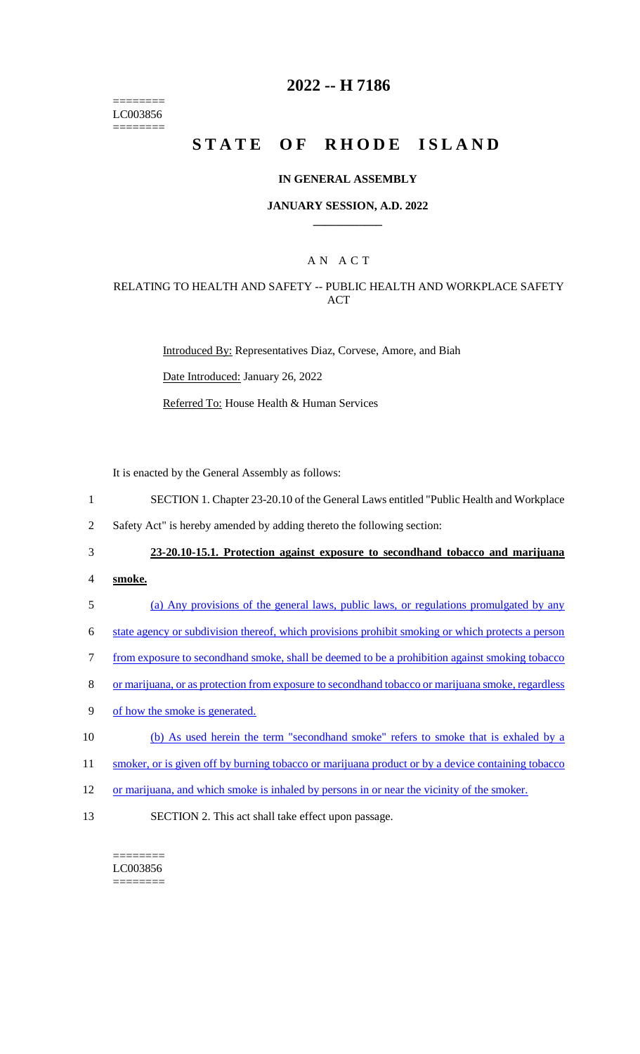======== LC003856 ========

## **2022 -- H 7186**

# **STATE OF RHODE ISLAND**

### **IN GENERAL ASSEMBLY**

### **JANUARY SESSION, A.D. 2022 \_\_\_\_\_\_\_\_\_\_\_\_**

### A N A C T

### RELATING TO HEALTH AND SAFETY -- PUBLIC HEALTH AND WORKPLACE SAFETY ACT

Introduced By: Representatives Diaz, Corvese, Amore, and Biah

Date Introduced: January 26, 2022

Referred To: House Health & Human Services

It is enacted by the General Assembly as follows:

- 1 SECTION 1. Chapter 23-20.10 of the General Laws entitled "Public Health and Workplace
- 2 Safety Act" is hereby amended by adding thereto the following section:
- 

#### 3 **23-20.10-15.1. Protection against exposure to secondhand tobacco and marijuana**

- 4 **smoke.**
- 5 (a) Any provisions of the general laws, public laws, or regulations promulgated by any
- 6 state agency or subdivision thereof, which provisions prohibit smoking or which protects a person
- 7 from exposure to secondhand smoke, shall be deemed to be a prohibition against smoking tobacco
- 8 or marijuana, or as protection from exposure to secondhand tobacco or marijuana smoke, regardless
- 9 of how the smoke is generated.
- 10 (b) As used herein the term "secondhand smoke" refers to smoke that is exhaled by a
- 11 smoker, or is given off by burning tobacco or marijuana product or by a device containing tobacco
- 12 or marijuana, and which smoke is inhaled by persons in or near the vicinity of the smoker.
- 13 SECTION 2. This act shall take effect upon passage.

======== LC003856 ========